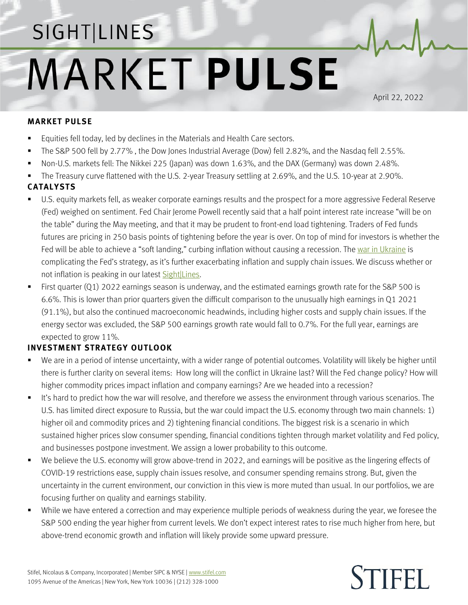## SIGHT LINES **MARKET PULSE**

April 22, 2022

## **MARKET PULSE**

- Equities fell today, led by declines in the Materials and Health Care sectors.
- The S&P 500 fell by 2.77%, the Dow Jones Industrial Average (Dow) fell 2.82%, and the Nasdaq fell 2.55%.
- Non-U.S. markets fell: The Nikkei 225 (Japan) was down 1.63%, and the DAX (Germany) was down 2.48%.
- The Treasury curve flattened with the U.S. 2-year Treasury settling at 2.69%, and the U.S. 10-year at 2.90%.

## **CATALYSTS**

- U.S. equity markets fell, as weaker corporate earnings results and the prospect for a more aggressive Federal Reserve (Fed) weighed on sentiment. Fed Chair Jerome Powell recently said that a half point interest rate increase "will be on the table" during the May meeting, and that it may be prudent to front-end load tightening. Traders of Fed funds futures are pricing in 250 basis points of tightening before the year is over. On top of mind for investors is whether the Fed will be able to achieve a "soft landing," curbing inflation without causing a recession. Th[e war in Ukraine](https://www.stifel.com/newsletters/AdGraphics/InSight/Major-Themes/MT.html) is complicating the Fed's strategy, as it's further exacerbating inflation and supply chain issues. We discuss whether or not inflation is peaking in our latest **Sight**|Lines.
- First quarter (Q1) 2022 earnings season is underway, and the estimated earnings growth rate for the S&P 500 is 6.6%. This is lower than prior quarters given the difficult comparison to the unusually high earnings in Q1 2021 (91.1%), but also the continued macroeconomic headwinds, including higher costs and supply chain issues. If the energy sector was excluded, the S&P 500 earnings growth rate would fall to 0.7%. For the full year, earnings are expected to grow 11%.

## **INVESTMENT STRATEGY OUTLOOK**

- We are in a period of intense uncertainty, with a wider range of potential outcomes. Volatility will likely be higher until there is further clarity on several items: How long will the conflict in Ukraine last? Will the Fed change policy? How will higher commodity prices impact inflation and company earnings? Are we headed into a recession?
- It's hard to predict how the war will resolve, and therefore we assess the environment through various scenarios. The U.S. has limited direct exposure to Russia, but the war could impact the U.S. economy through two main channels: 1) higher oil and commodity prices and 2) tightening financial conditions. The biggest risk is a scenario in which sustained higher prices slow consumer spending, financial conditions tighten through market volatility and Fed policy, and businesses postpone investment. We assign a lower probability to this outcome.
- We believe the U.S. economy will grow above-trend in 2022, and earnings will be positive as the lingering effects of COVID-19 restrictions ease, supply chain issues resolve, and consumer spending remains strong. But, given the uncertainty in the current environment, our conviction in this view is more muted than usual. In our portfolios, we are focusing further on quality and earnings stability.
- While we have entered a correction and may experience multiple periods of weakness during the year, we foresee the S&P 500 ending the year higher from current levels. We don't expect interest rates to rise much higher from here, but above-trend economic growth and inflation will likely provide some upward pressure.